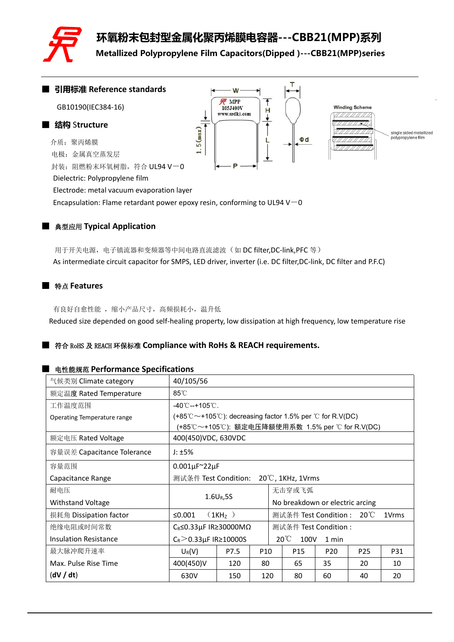

**环氧粉末包封型金属化聚丙烯膜电容器---CBB21(MPP)系列**

**Metallized Polypropylene Film Capacitors(Dipped )---CBB21(MPP)series**



# ■ 典型应用 **Typical Application**

用于开关电源,电子镇流器和变频器等中间电路直流滤波(如 DC filter,DC-link,PFC 等) As intermediate circuit capacitor for SMPS, LED driver, inverter (i.e. DC filter,DC-link, DC filter and P.F.C)

#### ■ 特点 **Features**

有良好自愈性能,缩小产品尺寸,高频损耗小,温升低

Reduced size depended on good self-healing property, low dissipation at high frequency, low temperature rise

#### ■ 符合 RoHS <sup>及</sup> REACH 环保标准 **Compliance with RoHs & REACH requirements.**

#### ■ 电性能规范 **Performance Specifications**

| 气候类别 Climate category        | 40/105/56                                |                     |                 |                                                                                                                                                                                                                                                                                                                                                                                                                           |  |  |  |  |  |
|------------------------------|------------------------------------------|---------------------|-----------------|---------------------------------------------------------------------------------------------------------------------------------------------------------------------------------------------------------------------------------------------------------------------------------------------------------------------------------------------------------------------------------------------------------------------------|--|--|--|--|--|
| 额定温度 Rated Temperature       | $85^{\circ}$ C                           |                     |                 |                                                                                                                                                                                                                                                                                                                                                                                                                           |  |  |  |  |  |
| 工作温度范围                       |                                          | -40℃--+105℃.        |                 |                                                                                                                                                                                                                                                                                                                                                                                                                           |  |  |  |  |  |
| Operating Temperature range  |                                          |                     |                 |                                                                                                                                                                                                                                                                                                                                                                                                                           |  |  |  |  |  |
|                              |                                          |                     |                 |                                                                                                                                                                                                                                                                                                                                                                                                                           |  |  |  |  |  |
| 额定电压 Rated Voltage           | 400(450) VDC, 630 VDC                    |                     |                 |                                                                                                                                                                                                                                                                                                                                                                                                                           |  |  |  |  |  |
| 容量误差 Capacitance Tolerance   | J: $\pm 5\%$                             |                     |                 |                                                                                                                                                                                                                                                                                                                                                                                                                           |  |  |  |  |  |
| 容量范围                         | $0.001\mu F^222\mu F$                    |                     |                 |                                                                                                                                                                                                                                                                                                                                                                                                                           |  |  |  |  |  |
| Capacitance Range            | 测试条件 Test Condition:                     |                     |                 |                                                                                                                                                                                                                                                                                                                                                                                                                           |  |  |  |  |  |
| 耐电压                          |                                          |                     |                 |                                                                                                                                                                                                                                                                                                                                                                                                                           |  |  |  |  |  |
| Withstand Voltage            |                                          | $1.6U_R, 5S$        |                 | $(+85^{\circ}\text{C}\sim+105^{\circ}\text{C})$ : decreasing factor 1.5% per $\degree$ C for R.V(DC)<br>(+85℃~+105℃): 额定电压降额使用系数 1.5% per ℃ for R.V(DC)<br>$20^{\circ}$ C, 1KHz, 1Vrms<br>无击穿或飞弧<br>No breakdown or electric arcing<br>测试条件 Test Condition: 20℃<br>1Vrms<br>测试条件 Test Condition:<br>$20^{\circ}$<br>100V<br>1 min<br>P15<br>P20<br>P <sub>25</sub><br>P31<br>65<br>35<br>20<br>10<br>80<br>20<br>60<br>40 |  |  |  |  |  |
| 损耗角 Dissipation factor       | ≤ $0.001$                                | (1KH <sub>z</sub> ) |                 |                                                                                                                                                                                                                                                                                                                                                                                                                           |  |  |  |  |  |
| 绝缘电阻或时间常数                    | $C_R \le 0.33 \mu$ F IR 230000M $\Omega$ |                     |                 |                                                                                                                                                                                                                                                                                                                                                                                                                           |  |  |  |  |  |
| <b>Insulation Resistance</b> | $C_R$ > 0.33µF IR ≥ 10000S               |                     |                 |                                                                                                                                                                                                                                                                                                                                                                                                                           |  |  |  |  |  |
| 最大脉冲爬升速率                     | $U_R(V)$                                 | P7.5                | P <sub>10</sub> |                                                                                                                                                                                                                                                                                                                                                                                                                           |  |  |  |  |  |
| Max. Pulse Rise Time         | 400(450)V                                | 120                 | 80              |                                                                                                                                                                                                                                                                                                                                                                                                                           |  |  |  |  |  |
| (dV / dt)                    | 630V                                     | 150                 | 120             |                                                                                                                                                                                                                                                                                                                                                                                                                           |  |  |  |  |  |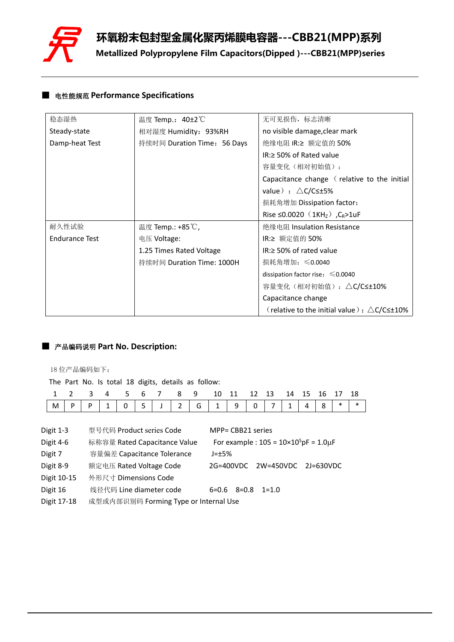

# ■ 电性能规范 **Performance Specifications**

| 稳态湿热                  | 温度 Temp.: 40±2 ℃            | 无可见损伤,标志清晰                                                   |
|-----------------------|-----------------------------|--------------------------------------------------------------|
| Steady-state          | 相对湿度 Humidity: 93%RH        | no visible damage, clear mark                                |
| Damp-heat Test        | 持续时间 Duration Time: 56 Days | 绝缘电阻 IR:≥ 额定值的 50%                                           |
|                       |                             | $IR \geq 50\%$ of Rated value                                |
|                       |                             | 容量变化 (相对初始值):                                                |
|                       |                             | Capacitance change (relative to the initial                  |
|                       |                             | value) : $\triangle C/C \leq \pm 5\%$                        |
|                       |                             | 损耗角增加 Dissipation factor:                                    |
|                       |                             | Rise ≤0.0020 (1KH <sub>z</sub> ), C <sub>R</sub> >1uF        |
| 耐久性试验                 | 温度 Temp.: +85℃,             | 绝缘电阻 Insulation Resistance                                   |
| <b>Endurance Test</b> | 电压 Voltage:                 | IR:≥ 额定值的 50%                                                |
|                       | 1.25 Times Rated Voltage    | $IR \geq 50\%$ of rated value                                |
|                       | 持续时间 Duration Time: 1000H   | 损耗角增加: ≤0.0040                                               |
|                       |                             | dissipation factor rise: $\leq 0.0040$                       |
|                       |                             | 容量变化(相对初始值): △C/C≤±10%                                       |
|                       |                             | Capacitance change                                           |
|                       |                             | (relative to the initial value): $\triangle$ C/C $\leq$ +10% |

# ■ 产品编码说明 **Part No. Description:**

18 位产品编码如下:

| 1 2 3 4 5 6 7 8 9 10 11 12 13 14 15 16 17 18                                                                                                                                                  |  |
|-----------------------------------------------------------------------------------------------------------------------------------------------------------------------------------------------|--|
| $\vert$ M $\vert$ P $\vert$ P $\vert$ 1 $\vert$ 0 $\vert$ 5 $\vert$ J $\vert$ 2 $\vert$ G $\vert$ 1 $\vert$ 9 $\vert$ 0 $\vert$ 7 $\vert$ 1 $\vert$ 4 $\vert$ 8 $\vert$ * $\vert$ * $\vert$ * |  |

| Digit 1-3   | 型号代码 Product series Code              | MPP= CBB21 series                                     |
|-------------|---------------------------------------|-------------------------------------------------------|
| Digit 4-6   | 标称容量 Rated Capacitance Value          | For example : $105 = 10 \times 10^5$ pF = $1.0 \mu$ F |
| Digit 7     | 容量偏差 Capacitance Tolerance            | $J=\pm 5\%$                                           |
| Digit 8-9   | 额定电压 Rated Voltage Code               | 2W=450VDC 2J=630VDC<br>2G=400VDC                      |
| Digit 10-15 | 外形尺寸 Dimensions Code                  |                                                       |
| Digit 16    | 线径代码 Line diameter code               | $6=0.6$ $8=0.8$ $1=1.0$                               |
| Digit 17-18 | 成型或内部识别码 Forming Type or Internal Use |                                                       |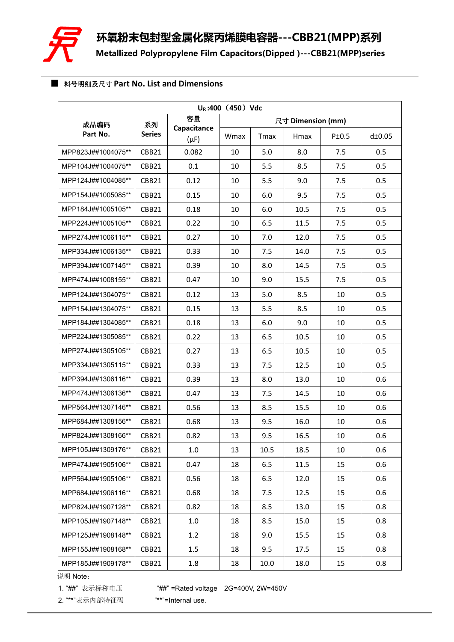

## ■ 料号明细及尺寸 **Part No. List and Dimensions**

| $U_R$ :400 (450) Vdc |               |                          |      |              |                   |       |        |  |  |  |
|----------------------|---------------|--------------------------|------|--------------|-------------------|-------|--------|--|--|--|
| 成品编码                 | 系列            | 容量                       |      |              | 尺寸 Dimension (mm) |       |        |  |  |  |
| Part No.             | <b>Series</b> | Capacitance<br>$(\mu F)$ | Wmax | <b>T</b> max | Hmax              | P±0.5 | d±0.05 |  |  |  |
| MPP823J##1004075**   | CBB21         | 0.082                    | 10   | 5.0          | 8.0               | 7.5   | 0.5    |  |  |  |
| MPP104J##1004075**   | CBB21         | 0.1                      | 10   | 5.5          | 8.5               | 7.5   | 0.5    |  |  |  |
| MPP124J##1004085**   | CBB21         | 0.12                     | 10   | 5.5          | 9.0               | 7.5   | 0.5    |  |  |  |
| MPP154J##1005085**   | CBB21         | 0.15                     | 10   | 6.0          | 9.5               | 7.5   | 0.5    |  |  |  |
| MPP184J##1005105**   | CBB21         | 0.18                     | 10   | 6.0          | 10.5              | 7.5   | 0.5    |  |  |  |
| MPP224J##1005105**   | CBB21         | 0.22                     | 10   | 6.5          | 11.5              | 7.5   | 0.5    |  |  |  |
| MPP274J##1006115**   | CBB21         | 0.27                     | 10   | 7.0          | 12.0              | 7.5   | 0.5    |  |  |  |
| MPP334J##1006135**   | CBB21         | 0.33                     | 10   | 7.5          | 14.0              | 7.5   | 0.5    |  |  |  |
| MPP394J##1007145**   | CBB21         | 0.39                     | 10   | 8.0          | 14.5              | 7.5   | 0.5    |  |  |  |
| MPP474J##1008155**   | CBB21         | 0.47                     | 10   | 9.0          | 15.5              | 7.5   | 0.5    |  |  |  |
| MPP124J##1304075**   | CBB21         | 0.12                     | 13   | 5.0          | 8.5               | 10    | 0.5    |  |  |  |
| MPP154J##1304075**   | CBB21         | 0.15                     | 13   | 5.5          | 8.5               | 10    | 0.5    |  |  |  |
| MPP184J##1304085**   | CBB21         | 0.18                     | 13   | 6.0          | 9.0               | 10    | 0.5    |  |  |  |
| MPP224J##1305085**   | CBB21         | 0.22                     | 13   | 6.5          | 10.5              | 10    | 0.5    |  |  |  |
| MPP274J##1305105**   | CBB21         | 0.27                     | 13   | 6.5          | 10.5              | 10    | 0.5    |  |  |  |
| MPP334J##1305115**   | CBB21         | 0.33                     | 13   | 7.5          | 12.5              | 10    | 0.5    |  |  |  |
| MPP394J##1306116**   | CBB21         | 0.39                     | 13   | 8.0          | 13.0              | 10    | 0.6    |  |  |  |
| MPP474J##1306136**   | CBB21         | 0.47                     | 13   | 7.5          | 14.5              | 10    | 0.6    |  |  |  |
| MPP564J##1307146**   | CBB21         | 0.56                     | 13   | 8.5          | 15.5              | 10    | 0.6    |  |  |  |
| MPP684J##1308156**   | CBB21         | 0.68                     | 13   | 9.5          | 16.0              | 10    | 0.6    |  |  |  |
| MPP824J##1308166**   | CBB21         | 0.82                     | 13   | 9.5          | 16.5              | 10    | 0.6    |  |  |  |
| MPP105J##1309176**   | CBB21         | 1.0                      | 13   | 10.5         | 18.5              | 10    | 0.6    |  |  |  |
| MPP474J##1905106**   | CBB21         | 0.47                     | 18   | 6.5          | 11.5              | 15    | 0.6    |  |  |  |
| MPP564J##1905106**   | CBB21         | 0.56                     | 18   | 6.5          | 12.0              | 15    | 0.6    |  |  |  |
| MPP684J##1906116**   | CBB21         | 0.68                     | 18   | 7.5          | 12.5              | 15    | 0.6    |  |  |  |
| MPP824J##1907128**   | CBB21         | 0.82                     | 18   | 8.5          | 13.0              | 15    | 0.8    |  |  |  |
| MPP105J##1907148**   | CBB21         | 1.0                      | 18   | 8.5          | 15.0              | 15    | 0.8    |  |  |  |
| MPP125J##1908148**   | CBB21         | 1.2                      | 18   | 9.0          | 15.5              | 15    | 0.8    |  |  |  |
| MPP155J##1908168**   | CBB21         | 1.5                      | 18   | 9.5          | 17.5              | 15    | 0.8    |  |  |  |
| MPP185J##1909178**   | CBB21         | 1.8                      | 18   | 10.0         | 18.0              | 15    | 0.8    |  |  |  |

说明 Note:

1. "##" 表示标称电压 "##" =Rated voltage 2G=400V, 2W=450V

2. "\*\*"表示内部特征码 "\*\*"=Internal use.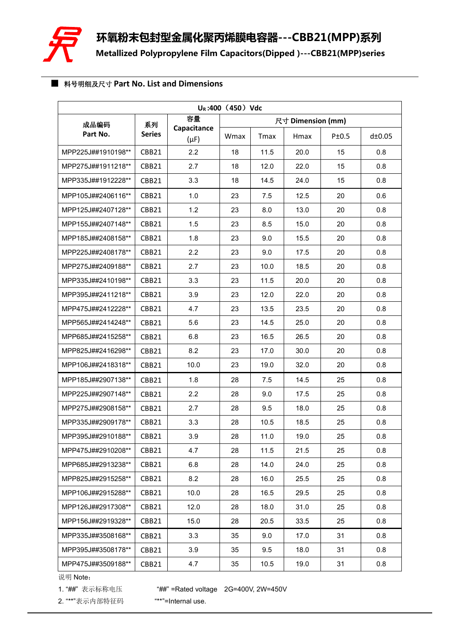

## ■ 料号明细及尺寸 **Part No. List and Dimensions**

| $U_R$ :400 (450) Vdc |               |                          |      |                   |      |       |        |  |  |  |
|----------------------|---------------|--------------------------|------|-------------------|------|-------|--------|--|--|--|
| 成品编码                 | 系列            | 容量                       |      | 尺寸 Dimension (mm) |      |       |        |  |  |  |
| Part No.             | <b>Series</b> | Capacitance<br>$(\mu F)$ | Wmax | <b>T</b> max      | Hmax | P±0.5 | d±0.05 |  |  |  |
| MPP225J##1910198**   | CBB21         | 2.2                      | 18   | 11.5              | 20.0 | 15    | 0.8    |  |  |  |
| MPP275J##1911218**   | CBB21         | 2.7                      | 18   | 12.0              | 22.0 | 15    | 0.8    |  |  |  |
| MPP335J##1912228**   | CBB21         | 3.3                      | 18   | 14.5              | 24.0 | 15    | 0.8    |  |  |  |
| MPP105J##2406116**   | CBB21         | 1.0                      | 23   | 7.5               | 12.5 | 20    | 0.6    |  |  |  |
| MPP125J##2407128**   | CBB21         | 1.2                      | 23   | 8.0               | 13.0 | 20    | 0.8    |  |  |  |
| MPP155J##2407148**   | CBB21         | 1.5                      | 23   | 8.5               | 15.0 | 20    | 0.8    |  |  |  |
| MPP185J##2408158**   | CBB21         | 1.8                      | 23   | 9.0               | 15.5 | 20    | 0.8    |  |  |  |
| MPP225J##2408178**   | CBB21         | 2.2                      | 23   | 9.0               | 17.5 | 20    | 0.8    |  |  |  |
| MPP275J##2409188**   | CBB21         | 2.7                      | 23   | 10.0              | 18.5 | 20    | 0.8    |  |  |  |
| MPP335J##2410198**   | CBB21         | 3.3                      | 23   | 11.5              | 20.0 | 20    | 0.8    |  |  |  |
| MPP395J##2411218**   | CBB21         | 3.9                      | 23   | 12.0              | 22.0 | 20    | 0.8    |  |  |  |
| MPP475J##2412228**   | CBB21         | 4.7                      | 23   | 13.5              | 23.5 | 20    | 0.8    |  |  |  |
| MPP565J##2414248**   | CBB21         | 5.6                      | 23   | 14.5              | 25.0 | 20    | 0.8    |  |  |  |
| MPP685J##2415258**   | CBB21         | 6.8                      | 23   | 16.5              | 26.5 | 20    | 0.8    |  |  |  |
| MPP825J##2416298**   | CBB21         | 8.2                      | 23   | 17.0              | 30.0 | 20    | 0.8    |  |  |  |
| MPP106J##2418318**   | CBB21         | 10.0                     | 23   | 19.0              | 32.0 | 20    | 0.8    |  |  |  |
| MPP185J##2907138**   | CBB21         | 1.8                      | 28   | 7.5               | 14.5 | 25    | 0.8    |  |  |  |
| MPP225J##2907148**   | CBB21         | 2.2                      | 28   | 9.0               | 17.5 | 25    | 0.8    |  |  |  |
| MPP275J##2908158**   | CBB21         | 2.7                      | 28   | 9.5               | 18.0 | 25    | 0.8    |  |  |  |
| MPP335J##2909178**   | CBB21         | 3.3                      | 28   | 10.5              | 18.5 | 25    | 0.8    |  |  |  |
| MPP395J##2910188**   | CBB21         | 3.9                      | 28   | 11.0              | 19.0 | 25    | 0.8    |  |  |  |
| MPP475J##2910208**   | CBB21         | 4.7                      | 28   | 11.5              | 21.5 | 25    | 0.8    |  |  |  |
| MPP685J##2913238**   | CBB21         | 6.8                      | 28   | 14.0              | 24.0 | 25    | 0.8    |  |  |  |
| MPP825J##2915258**   | CBB21         | 8.2                      | 28   | 16.0              | 25.5 | 25    | 0.8    |  |  |  |
| MPP106J##2915288**   | CBB21         | 10.0                     | 28   | 16.5              | 29.5 | 25    | 0.8    |  |  |  |
| MPP126J##2917308**   | CBB21         | 12.0                     | 28   | 18.0              | 31.0 | 25    | 0.8    |  |  |  |
| MPP156J##2919328**   | CBB21         | 15.0                     | 28   | 20.5              | 33.5 | 25    | 0.8    |  |  |  |
| MPP335J##3508168**   | CBB21         | 3.3                      | 35   | 9.0               | 17.0 | 31    | 0.8    |  |  |  |
| MPP395J##3508178**   | CBB21         | 3.9                      | 35   | 9.5               | 18.0 | 31    | 0.8    |  |  |  |
| MPP475J##3509188**   | CBB21         | 4.7                      | 35   | 10.5              | 19.0 | 31    | 0.8    |  |  |  |

说明 Note:

1. "##" 表示标称电压 "##" =Rated voltage 2G=400V, 2W=450V

2. "\*\*"表示内部特征码 "\*\*"=Internal use.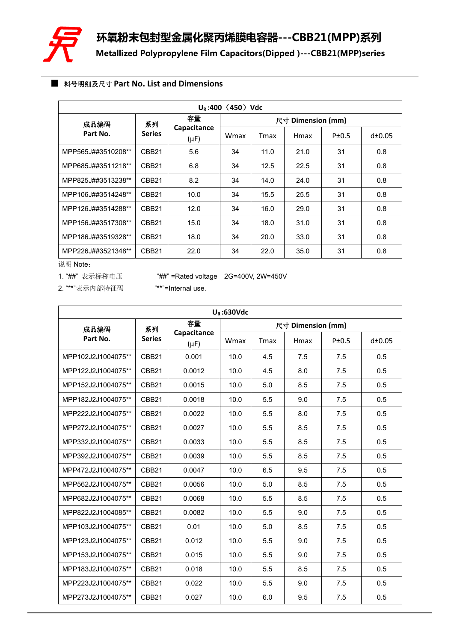

## ■ 料号明细及尺寸 **Part No. List and Dimensions**

| $U_R$ :400 (450) Vdc |                   |                          |      |                   |      |       |        |  |  |  |  |
|----------------------|-------------------|--------------------------|------|-------------------|------|-------|--------|--|--|--|--|
| 成品编码                 | 系列                | 容量                       |      | 尺寸 Dimension (mm) |      |       |        |  |  |  |  |
| Part No.             | <b>Series</b>     | Capacitance<br>$(\mu F)$ | Wmax | Tmax              | Hmax | P±0.5 | d±0.05 |  |  |  |  |
| MPP565J##3510208**   | CBB <sub>21</sub> | 5.6                      | 34   | 11.0              | 21.0 | 31    | 0.8    |  |  |  |  |
| MPP685J##3511218**   | CBB <sub>21</sub> | 6.8                      | 34   | 12.5              | 22.5 | 31    | 0.8    |  |  |  |  |
| MPP825J##3513238**   | CBB <sub>21</sub> | 8.2                      | 34   | 14.0              | 24.0 | 31    | 0.8    |  |  |  |  |
| MPP106J##3514248**   | CBB <sub>21</sub> | 10.0                     | 34   | 15.5              | 25.5 | 31    | 0.8    |  |  |  |  |
| MPP126J##3514288**   | CBB <sub>21</sub> | 12.0                     | 34   | 16.0              | 29.0 | 31    | 0.8    |  |  |  |  |
| MPP156J##3517308**   | CBB <sub>21</sub> | 15.0                     | 34   | 18.0              | 31.0 | 31    | 0.8    |  |  |  |  |
| MPP186J##3519328**   | CBB <sub>21</sub> | 18.0                     | 34   | 20.0              | 33.0 | 31    | 0.8    |  |  |  |  |
| MPP226J##3521348**   | CBB <sub>21</sub> | 22.0                     | 34   | 22.0              | 35.0 | 31    | 0.8    |  |  |  |  |

说明 Note:

1. "##"表示标称电压 \*\*\*\*\*\*\*\* =Rated voltage 2G=400V, 2W=450V

| $U_R$ :630Vdc      |                   |                          |      |                   |      |       |        |  |  |  |
|--------------------|-------------------|--------------------------|------|-------------------|------|-------|--------|--|--|--|
| 成品编码               | 系列                | 容量                       |      | 尺寸 Dimension (mm) |      |       |        |  |  |  |
| Part No.           | <b>Series</b>     | Capacitance<br>$(\mu F)$ | Wmax | Tmax              | Hmax | P±0.5 | d±0.05 |  |  |  |
| MPP102J2J1004075** | CBB21             | 0.001                    | 10.0 | 4.5               | 7.5  | 7.5   | 0.5    |  |  |  |
| MPP122J2J1004075** | CBB <sub>21</sub> | 0.0012                   | 10.0 | 4.5               | 8.0  | 7.5   | 0.5    |  |  |  |
| MPP152J2J1004075** | CBB21             | 0.0015                   | 10.0 | 5.0               | 8.5  | 7.5   | 0.5    |  |  |  |
| MPP182J2J1004075** | CBB21             | 0.0018                   | 10.0 | 5.5               | 9.0  | 7.5   | 0.5    |  |  |  |
| MPP222J2J1004075** | CBB21             | 0.0022                   | 10.0 | 5.5               | 8.0  | 7.5   | 0.5    |  |  |  |
| MPP272J2J1004075** | CBB <sub>21</sub> | 0.0027                   | 10.0 | 5.5               | 8.5  | 7.5   | 0.5    |  |  |  |
| MPP332J2J1004075** | CBB21             | 0.0033                   | 10.0 | 5.5               | 8.5  | 7.5   | 0.5    |  |  |  |
| MPP392J2J1004075** | CBB <sub>21</sub> | 0.0039                   | 10.0 | 5.5               | 8.5  | 7.5   | 0.5    |  |  |  |
| MPP472J2J1004075** | CBB <sub>21</sub> | 0.0047                   | 10.0 | 6.5               | 9.5  | 7.5   | 0.5    |  |  |  |
| MPP562J2J1004075** | CBB <sub>21</sub> | 0.0056                   | 10.0 | 5.0               | 8.5  | 7.5   | 0.5    |  |  |  |
| MPP682J2J1004075** | CBB <sub>21</sub> | 0.0068                   | 10.0 | 5.5               | 8.5  | 7.5   | 0.5    |  |  |  |
| MPP822J2J1004085** | CBB <sub>21</sub> | 0.0082                   | 10.0 | 5.5               | 9.0  | 7.5   | 0.5    |  |  |  |
| MPP103J2J1004075** | CBB21             | 0.01                     | 10.0 | 5.0               | 8.5  | 7.5   | 0.5    |  |  |  |
| MPP123J2J1004075** | CBB21             | 0.012                    | 10.0 | 5.5               | 9.0  | 7.5   | 0.5    |  |  |  |
| MPP153J2J1004075** | CBB21             | 0.015                    | 10.0 | 5.5               | 9.0  | 7.5   | 0.5    |  |  |  |
| MPP183J2J1004075** | CBB <sub>21</sub> | 0.018                    | 10.0 | 5.5               | 8.5  | 7.5   | 0.5    |  |  |  |
| MPP223J2J1004075** | CBB21             | 0.022                    | 10.0 | 5.5               | 9.0  | 7.5   | 0.5    |  |  |  |
| MPP273J2J1004075** | CBB <sub>21</sub> | 0.027                    | 10.0 | 6.0               | 9.5  | 7.5   | 0.5    |  |  |  |

2. "\*\*"表示内部特征码 "\*\*"=Internal use.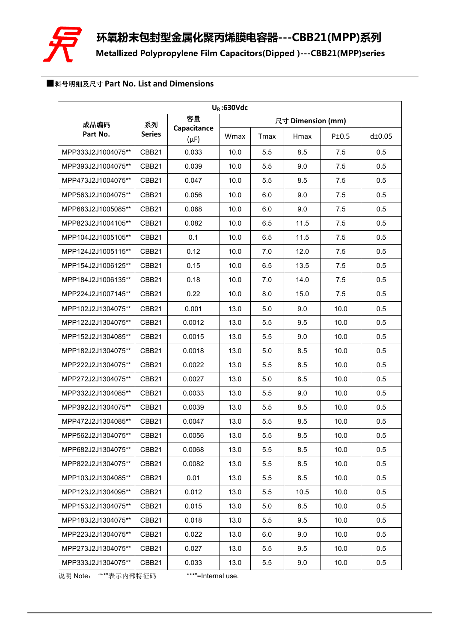

# ■料号明细及尺寸 **Part No. List and Dimensions**

| $U_R$ :630Vdc      |                   |                          |      |      |                   |       |        |  |  |  |
|--------------------|-------------------|--------------------------|------|------|-------------------|-------|--------|--|--|--|
| 成品编码               | 系列                | 容量                       |      |      | 尺寸 Dimension (mm) |       |        |  |  |  |
| Part No.           | <b>Series</b>     | Capacitance<br>$(\mu F)$ | Wmax | Tmax | Hmax              | P±0.5 | d±0.05 |  |  |  |
| MPP333J2J1004075** | CBB21             | 0.033                    | 10.0 | 5.5  | 8.5               | 7.5   | 0.5    |  |  |  |
| MPP393J2J1004075** | CBB21             | 0.039                    | 10.0 | 5.5  | 9.0               | 7.5   | 0.5    |  |  |  |
| MPP473J2J1004075** | CBB21             | 0.047                    | 10.0 | 5.5  | 8.5               | 7.5   | 0.5    |  |  |  |
| MPP563J2J1004075** | CBB21             | 0.056                    | 10.0 | 6.0  | 9.0               | 7.5   | 0.5    |  |  |  |
| MPP683J2J1005085** | CBB <sub>21</sub> | 0.068                    | 10.0 | 6.0  | 9.0               | 7.5   | 0.5    |  |  |  |
| MPP823J2J1004105** | CBB21             | 0.082                    | 10.0 | 6.5  | 11.5              | 7.5   | 0.5    |  |  |  |
| MPP104J2J1005105** | CBB <sub>21</sub> | 0.1                      | 10.0 | 6.5  | 11.5              | 7.5   | 0.5    |  |  |  |
| MPP124J2J1005115** | CBB <sub>21</sub> | 0.12                     | 10.0 | 7.0  | 12.0              | 7.5   | 0.5    |  |  |  |
| MPP154J2J1006125** | CBB21             | 0.15                     | 10.0 | 6.5  | 13.5              | 7.5   | 0.5    |  |  |  |
| MPP184J2J1006135** | CBB <sub>21</sub> | 0.18                     | 10.0 | 7.0  | 14.0              | 7.5   | 0.5    |  |  |  |
| MPP224J2J1007145** | CBB <sub>21</sub> | 0.22                     | 10.0 | 8.0  | 15.0              | 7.5   | 0.5    |  |  |  |
| MPP102J2J1304075** | CBB21             | 0.001                    | 13.0 | 5.0  | 9.0               | 10.0  | 0.5    |  |  |  |
| MPP122J2J1304075** | CBB21             | 0.0012                   | 13.0 | 5.5  | 9.5               | 10.0  | 0.5    |  |  |  |
| MPP152J2J1304085** | CBB21             | 0.0015                   | 13.0 | 5.5  | 9.0               | 10.0  | 0.5    |  |  |  |
| MPP182J2J1304075** | CBB <sub>21</sub> | 0.0018                   | 13.0 | 5.0  | 8.5               | 10.0  | 0.5    |  |  |  |
| MPP222J2J1304075** | CBB21             | 0.0022                   | 13.0 | 5.5  | 8.5               | 10.0  | 0.5    |  |  |  |
| MPP272J2J1304075** | CBB21             | 0.0027                   | 13.0 | 5.0  | 8.5               | 10.0  | 0.5    |  |  |  |
| MPP332J2J1304085** | CBB <sub>21</sub> | 0.0033                   | 13.0 | 5.5  | 9.0               | 10.0  | 0.5    |  |  |  |
| MPP392J2J1304075** | CBB21             | 0.0039                   | 13.0 | 5.5  | 8.5               | 10.0  | 0.5    |  |  |  |
| MPP472J2J1304085** | CBB21             | 0.0047                   | 13.0 | 5.5  | 8.5               | 10.0  | 0.5    |  |  |  |
| MPP562J2J1304075** | CBB21             | 0.0056                   | 13.0 | 5.5  | 8.5               | 10.0  | 0.5    |  |  |  |
| MPP682J2J1304075** | CBB21             | 0.0068                   | 13.0 | 5.5  | 8.5               | 10.0  | 0.5    |  |  |  |
| MPP822J2J1304075** | CBB <sub>21</sub> | 0.0082                   | 13.0 | 5.5  | 8.5               | 10.0  | 0.5    |  |  |  |
| MPP103J2J1304085** | CBB21             | 0.01                     | 13.0 | 5.5  | 8.5               | 10.0  | 0.5    |  |  |  |
| MPP123J2J1304095** | CBB21             | 0.012                    | 13.0 | 5.5  | 10.5              | 10.0  | 0.5    |  |  |  |
| MPP153J2J1304075** | CBB <sub>21</sub> | 0.015                    | 13.0 | 5.0  | 8.5               | 10.0  | 0.5    |  |  |  |
| MPP183J2J1304075** | CBB21             | 0.018                    | 13.0 | 5.5  | 9.5               | 10.0  | 0.5    |  |  |  |
| MPP223J2J1304075** | CBB <sub>21</sub> | 0.022                    | 13.0 | 6.0  | 9.0               | 10.0  | 0.5    |  |  |  |
| MPP273J2J1304075** | CBB21             | 0.027                    | 13.0 | 5.5  | 9.5               | 10.0  | 0.5    |  |  |  |
| MPP333J2J1304075** | CBB <sub>21</sub> | 0.033                    | 13.0 | 5.5  | 9.0               | 10.0  | 0.5    |  |  |  |

说明 Note: "\*\*"表示内部特征码 "\*\*"=Internal use.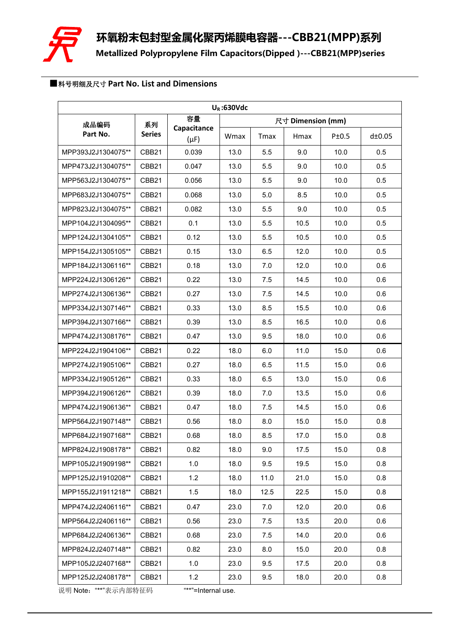

## ■料号明细及尺寸 **Part No. List and Dimensions**

| $U_R$ :630Vdc      |                   |                          |      |             |                   |       |        |  |  |  |
|--------------------|-------------------|--------------------------|------|-------------|-------------------|-------|--------|--|--|--|
| 成品编码               | 系列                | 容量                       |      |             | 尺寸 Dimension (mm) |       |        |  |  |  |
| Part No.           | <b>Series</b>     | Capacitance<br>$(\mu F)$ | Wmax | <b>Tmax</b> | Hmax              | P±0.5 | d±0.05 |  |  |  |
| MPP393J2J1304075** | CBB21             | 0.039                    | 13.0 | 5.5         | 9.0               | 10.0  | 0.5    |  |  |  |
| MPP473J2J1304075** | CBB <sub>21</sub> | 0.047                    | 13.0 | 5.5         | 9.0               | 10.0  | 0.5    |  |  |  |
| MPP563J2J1304075** | CBB21             | 0.056                    | 13.0 | 5.5         | 9.0               | 10.0  | 0.5    |  |  |  |
| MPP683J2J1304075** | CBB21             | 0.068                    | 13.0 | 5.0         | 8.5               | 10.0  | 0.5    |  |  |  |
| MPP823J2J1304075** | CBB21             | 0.082                    | 13.0 | 5.5         | 9.0               | 10.0  | 0.5    |  |  |  |
| MPP104J2J1304095** | CBB <sub>21</sub> | 0.1                      | 13.0 | 5.5         | 10.5              | 10.0  | 0.5    |  |  |  |
| MPP124J2J1304105** | CBB21             | 0.12                     | 13.0 | 5.5         | 10.5              | 10.0  | 0.5    |  |  |  |
| MPP154J2J1305105** | CBB21             | 0.15                     | 13.0 | 6.5         | 12.0              | 10.0  | 0.5    |  |  |  |
| MPP184J2J1306116** | CBB <sub>21</sub> | 0.18                     | 13.0 | 7.0         | 12.0              | 10.0  | 0.6    |  |  |  |
| MPP224J2J1306126** | CBB <sub>21</sub> | 0.22                     | 13.0 | 7.5         | 14.5              | 10.0  | 0.6    |  |  |  |
| MPP274J2J1306136** | CBB21             | 0.27                     | 13.0 | 7.5         | 14.5              | 10.0  | 0.6    |  |  |  |
| MPP334J2J1307146** | CBB <sub>21</sub> | 0.33                     | 13.0 | 8.5         | 15.5              | 10.0  | 0.6    |  |  |  |
| MPP394J2J1307166** | CBB21             | 0.39                     | 13.0 | 8.5         | 16.5              | 10.0  | 0.6    |  |  |  |
| MPP474J2J1308176** | CBB <sub>21</sub> | 0.47                     | 13.0 | 9.5         | 18.0              | 10.0  | 0.6    |  |  |  |
| MPP224J2J1904106** | CBB21             | 0.22                     | 18.0 | 6.0         | 11.0              | 15.0  | 0.6    |  |  |  |
| MPP274J2J1905106** | CBB <sub>21</sub> | 0.27                     | 18.0 | 6.5         | 11.5              | 15.0  | 0.6    |  |  |  |
| MPP334J2J1905126** | CBB21             | 0.33                     | 18.0 | 6.5         | 13.0              | 15.0  | 0.6    |  |  |  |
| MPP394J2J1906126** | CBB <sub>21</sub> | 0.39                     | 18.0 | 7.0         | 13.5              | 15.0  | 0.6    |  |  |  |
| MPP474J2J1906136** | CBB <sub>21</sub> | 0.47                     | 18.0 | 7.5         | 14.5              | 15.0  | 0.6    |  |  |  |
| MPP564J2J1907148** | CBB21             | 0.56                     | 18.0 | 8.0         | 15.0              | 15.0  | 0.8    |  |  |  |
| MPP684J2J1907168** | CBB21             | 0.68                     | 18.0 | 8.5         | 17.0              | 15.0  | 0.8    |  |  |  |
| MPP824J2J1908178** | CBB21             | 0.82                     | 18.0 | 9.0         | 17.5              | 15.0  | 0.8    |  |  |  |
| MPP105J2J1909198** | CBB <sub>21</sub> | 1.0                      | 18.0 | 9.5         | 19.5              | 15.0  | 0.8    |  |  |  |
| MPP125J2J1910208** | CBB21             | 1.2                      | 18.0 | 11.0        | 21.0              | 15.0  | 0.8    |  |  |  |
| MPP155J2J1911218** | CBB <sub>21</sub> | 1.5                      | 18.0 | 12.5        | 22.5              | 15.0  | 0.8    |  |  |  |
| MPP474J2J2406116** | CBB21             | 0.47                     | 23.0 | 7.0         | 12.0              | 20.0  | 0.6    |  |  |  |
| MPP564J2J2406116** | CBB <sub>21</sub> | 0.56                     | 23.0 | 7.5         | 13.5              | 20.0  | 0.6    |  |  |  |
| MPP684J2J2406136** | CBB <sub>21</sub> | 0.68                     | 23.0 | 7.5         | 14.0              | 20.0  | 0.6    |  |  |  |
| MPP824J2J2407148** | CBB21             | 0.82                     | 23.0 | 8.0         | 15.0              | 20.0  | 0.8    |  |  |  |
| MPP105J2J2407168** | CBB <sub>21</sub> | 1.0                      | 23.0 | 9.5         | 17.5              | 20.0  | 0.8    |  |  |  |
| MPP125J2J2408178** | CBB <sub>21</sub> | 1.2                      | 23.0 | 9.5         | 18.0              | 20.0  | 0.8    |  |  |  |

说明 Note:"\*\*"表示内部特征码 "\*\*"=Internal use.